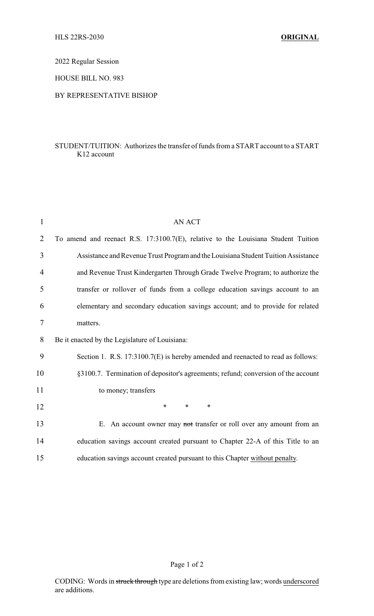2022 Regular Session

HOUSE BILL NO. 983

## BY REPRESENTATIVE BISHOP

## STUDENT/TUITION: Authorizes the transfer of funds from a START account to a START K12 account

| $\mathbf{1}$ | <b>AN ACT</b>                                                                     |
|--------------|-----------------------------------------------------------------------------------|
| 2            | To amend and reenact R.S. 17:3100.7(E), relative to the Louisiana Student Tuition |
| 3            | Assistance and Revenue Trust Program and the Louisiana Student Tuition Assistance |
| 4            | and Revenue Trust Kindergarten Through Grade Twelve Program; to authorize the     |
| 5            | transfer or rollover of funds from a college education savings account to an      |
| 6            | elementary and secondary education savings account; and to provide for related    |
| $\tau$       | matters.                                                                          |
| 8            | Be it enacted by the Legislature of Louisiana:                                    |
| 9            | Section 1. R.S. 17:3100.7(E) is hereby amended and reenacted to read as follows:  |
| 10           | §3100.7. Termination of depositor's agreements; refund; conversion of the account |
| 11           | to money; transfers                                                               |
| 12           | $\ast$<br>$\ast$<br>$\ast$                                                        |
| 13           | E. An account owner may not transfer or roll over any amount from an              |
| 14           | education savings account created pursuant to Chapter 22-A of this Title to an    |
| 15           | education savings account created pursuant to this Chapter without penalty.       |